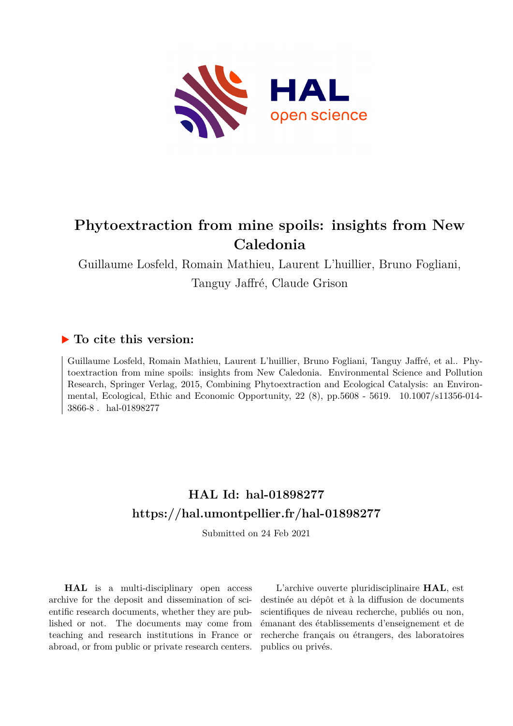

# **Phytoextraction from mine spoils: insights from New Caledonia**

Guillaume Losfeld, Romain Mathieu, Laurent L'huillier, Bruno Fogliani, Tanguy Jaffré, Claude Grison

# **To cite this version:**

Guillaume Losfeld, Romain Mathieu, Laurent L'huillier, Bruno Fogliani, Tanguy Jaffré, et al.. Phytoextraction from mine spoils: insights from New Caledonia. Environmental Science and Pollution Research, Springer Verlag, 2015, Combining Phytoextraction and Ecological Catalysis: an Environmental, Ecological, Ethic and Economic Opportunity, 22 (8), pp.5608 - 5619. 10.1007/s11356-014-3866-8. hal-01898277

# **HAL Id: hal-01898277 <https://hal.umontpellier.fr/hal-01898277>**

Submitted on 24 Feb 2021

**HAL** is a multi-disciplinary open access archive for the deposit and dissemination of scientific research documents, whether they are published or not. The documents may come from teaching and research institutions in France or abroad, or from public or private research centers.

L'archive ouverte pluridisciplinaire **HAL**, est destinée au dépôt et à la diffusion de documents scientifiques de niveau recherche, publiés ou non, émanant des établissements d'enseignement et de recherche français ou étrangers, des laboratoires publics ou privés.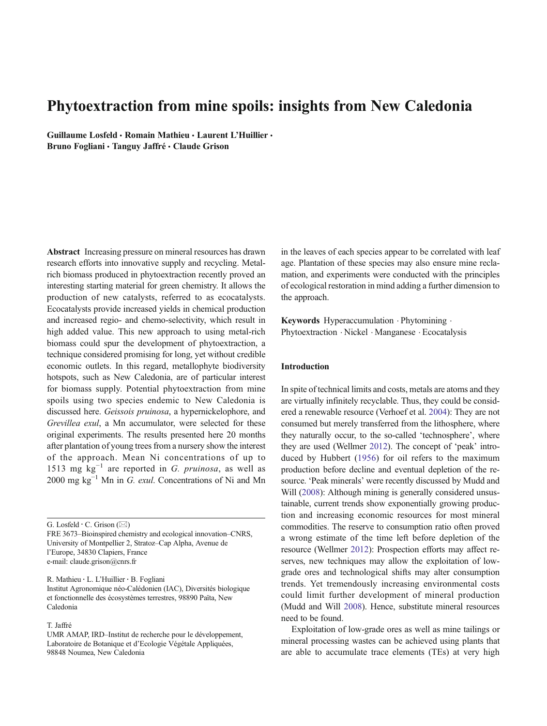# Phytoextraction from mine spoils: insights from New Caledonia

Guillaume Losfeld · Romain Mathieu · Laurent L'Huillier · Bruno Fogliani · Tanguy Jaffré · Claude Grison

Abstract Increasing pressure on mineral resources has drawn research efforts into innovative supply and recycling. Metalrich biomass produced in phytoextraction recently proved an interesting starting material for green chemistry. It allows the production of new catalysts, referred to as ecocatalysts. Ecocatalysts provide increased yields in chemical production and increased regio- and chemo-selectivity, which result in high added value. This new approach to using metal-rich biomass could spur the development of phytoextraction, a technique considered promising for long, yet without credible economic outlets. In this regard, metallophyte biodiversity hotspots, such as New Caledonia, are of particular interest for biomass supply. Potential phytoextraction from mine spoils using two species endemic to New Caledonia is discussed here. Geissois pruinosa, a hypernickelophore, and Grevillea exul, a Mn accumulator, were selected for these original experiments. The results presented here 20 months after plantation of young trees from a nursery show the interest of the approach. Mean Ni concentrations of up to 1513 mg  $kg^{-1}$  are reported in G. pruinosa, as well as 2000 mg  $kg^{-1}$  Mn in G. exul. Concentrations of Ni and Mn

G. Losfeld  $\cdot$  C. Grison ( $\boxtimes$ )

FRE 3673–Bioinspired chemistry and ecological innovation–CNRS, University of Montpellier 2, Stratoz–Cap Alpha, Avenue de l'Europe, 34830 Clapiers, France e-mail: claude.grison@cnrs.fr

R. Mathieu : L. L'Huillier : B. Fogliani Institut Agronomique néo-Calédonien (IAC), Diversités biologique et fonctionnelle des écosystèmes terrestres, 98890 Païta, New Caledonia

# T. Jaffré

in the leaves of each species appear to be correlated with leaf age. Plantation of these species may also ensure mine reclamation, and experiments were conducted with the principles of ecological restoration in mind adding a further dimension to the approach.

Keywords Hyperaccumulation · Phytomining · Phytoextraction . Nickel . Manganese . Ecocatalysis

# Introduction

In spite of technical limits and costs, metals are atoms and they are virtually infinitely recyclable. Thus, they could be considered a renewable resource (Verhoef et al. 2004): They are not consumed but merely transferred from the lithosphere, where they naturally occur, to the so-called 'technosphere', where they are used (Wellmer 2012). The concept of 'peak' introduced by Hubbert (1956) for oil refers to the maximum production before decline and eventual depletion of the resource. 'Peak minerals' were recently discussed by Mudd and Will (2008): Although mining is generally considered unsustainable, current trends show exponentially growing production and increasing economic resources for most mineral commodities. The reserve to consumption ratio often proved a wrong estimate of the time left before depletion of the resource (Wellmer 2012): Prospection efforts may affect reserves, new techniques may allow the exploitation of lowgrade ores and technological shifts may alter consumption trends. Yet tremendously increasing environmental costs could limit further development of mineral production (Mudd and Will 2008). Hence, substitute mineral resources need to be found.

Exploitation of low-grade ores as well as mine tailings or mineral processing wastes can be achieved using plants that are able to accumulate trace elements (TEs) at very high

UMR AMAP, IRD–Institut de recherche pour le développement, Laboratoire de Botanique et d'Ecologie Végétale Appliquées, 98848 Noumea, New Caledonia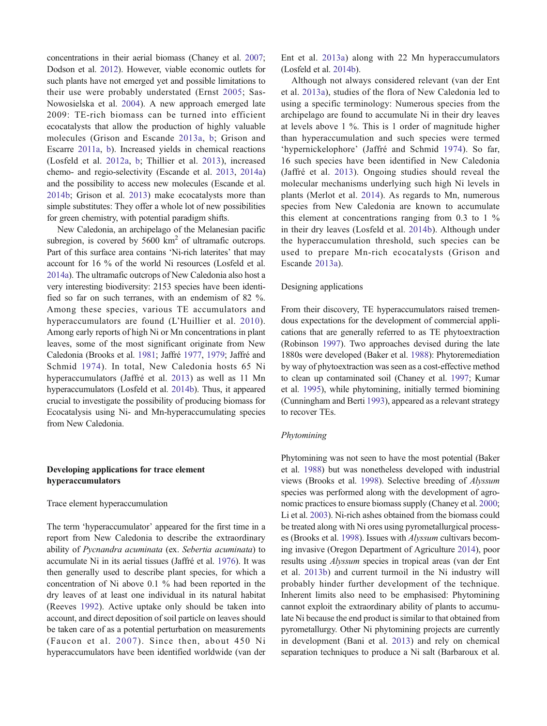concentrations in their aerial biomass (Chaney et al. 2007; Dodson et al. 2012). However, viable economic outlets for such plants have not emerged yet and possible limitations to their use were probably understated (Ernst 2005; Sas-Nowosielska et al. 2004). A new approach emerged late 2009: TE-rich biomass can be turned into efficient ecocatalysts that allow the production of highly valuable molecules (Grison and Escande 2013a, b; Grison and Escarre 2011a, b). Increased yields in chemical reactions (Losfeld et al. 2012a, b; Thillier et al. 2013), increased chemo- and regio-selectivity (Escande et al. 2013, 2014a) and the possibility to access new molecules (Escande et al. 2014b; Grison et al. 2013) make ecocatalysts more than simple substitutes: They offer a whole lot of new possibilities for green chemistry, with potential paradigm shifts.

New Caledonia, an archipelago of the Melanesian pacific subregion, is covered by  $5600 \text{ km}^2$  of ultramafic outcrops. Part of this surface area contains 'Ni-rich laterites' that may account for 16 % of the world Ni resources (Losfeld et al. 2014a). The ultramafic outcrops of New Caledonia also host a very interesting biodiversity: 2153 species have been identified so far on such terranes, with an endemism of 82 %. Among these species, various TE accumulators and hyperaccumulators are found (L'Huillier et al. 2010). Among early reports of high Ni or Mn concentrations in plant leaves, some of the most significant originate from New Caledonia (Brooks et al. 1981; Jaffré 1977, 1979; Jaffré and Schmid 1974). In total, New Caledonia hosts 65 Ni hyperaccumulators (Jaffré et al. 2013) as well as 11 Mn hyperaccumulators (Losfeld et al. 2014b). Thus, it appeared crucial to investigate the possibility of producing biomass for Ecocatalysis using Ni- and Mn-hyperaccumulating species from New Caledonia.

# Developing applications for trace element hyperaccumulators

## Trace element hyperaccumulation

The term 'hyperaccumulator' appeared for the first time in a report from New Caledonia to describe the extraordinary ability of Pycnandra acuminata (ex. Sebertia acuminata) to accumulate Ni in its aerial tissues (Jaffré et al. 1976). It was then generally used to describe plant species, for which a concentration of Ni above 0.1 % had been reported in the dry leaves of at least one individual in its natural habitat (Reeves 1992). Active uptake only should be taken into account, and direct deposition of soil particle on leaves should be taken care of as a potential perturbation on measurements (Faucon et al. 2007). Since then, about 450 Ni hyperaccumulators have been identified worldwide (van der Ent et al. 2013a) along with 22 Mn hyperaccumulators (Losfeld et al. 2014b).

Although not always considered relevant (van der Ent et al. 2013a), studies of the flora of New Caledonia led to using a specific terminology: Numerous species from the archipelago are found to accumulate Ni in their dry leaves at levels above 1 %. This is 1 order of magnitude higher than hyperaccumulation and such species were termed 'hypernickelophore' (Jaffré and Schmid 1974). So far, 16 such species have been identified in New Caledonia (Jaffré et al. 2013). Ongoing studies should reveal the molecular mechanisms underlying such high Ni levels in plants (Merlot et al. 2014). As regards to Mn, numerous species from New Caledonia are known to accumulate this element at concentrations ranging from  $0.3$  to  $1\%$ in their dry leaves (Losfeld et al. 2014b). Although under the hyperaccumulation threshold, such species can be used to prepare Mn-rich ecocatalysts (Grison and Escande 2013a).

# Designing applications

From their discovery, TE hyperaccumulators raised tremendous expectations for the development of commercial applications that are generally referred to as TE phytoextraction (Robinson 1997). Two approaches devised during the late 1880s were developed (Baker et al. 1988): Phytoremediation by way of phytoextraction was seen as a cost-effective method to clean up contaminated soil (Chaney et al. 1997; Kumar et al. 1995), while phytomining, initially termed biomining (Cunningham and Berti 1993), appeared as a relevant strategy to recover TEs.

# Phytomining

Phytomining was not seen to have the most potential (Baker et al. 1988) but was nonetheless developed with industrial views (Brooks et al. 1998). Selective breeding of Alyssum species was performed along with the development of agronomic practices to ensure biomass supply (Chaney et al. 2000; Li et al. 2003). Ni-rich ashes obtained from the biomass could be treated along with Ni ores using pyrometallurgical processes (Brooks et al. 1998). Issues with Alyssum cultivars becoming invasive (Oregon Department of Agriculture 2014), poor results using Alyssum species in tropical areas (van der Ent et al. 2013b) and current turmoil in the Ni industry will probably hinder further development of the technique. Inherent limits also need to be emphasised: Phytomining cannot exploit the extraordinary ability of plants to accumulate Ni because the end product is similar to that obtained from pyrometallurgy. Other Ni phytomining projects are currently in development (Bani et al. 2013) and rely on chemical separation techniques to produce a Ni salt (Barbaroux et al.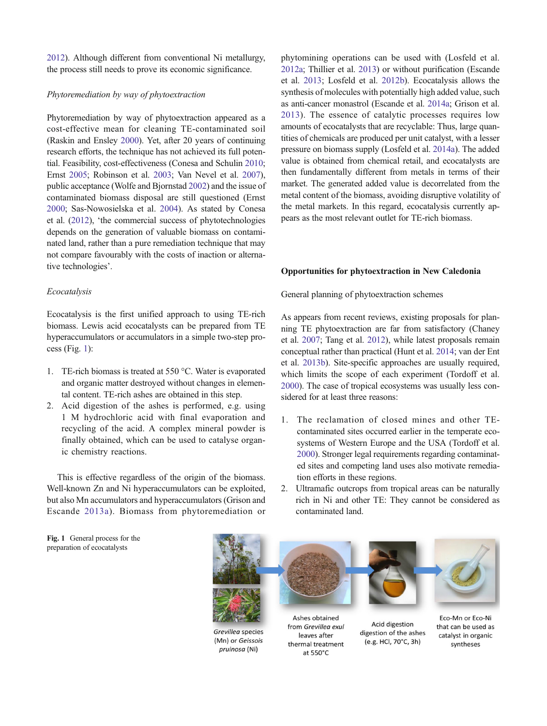2012). Although different from conventional Ni metallurgy, the process still needs to prove its economic significance.

# Phytoremediation by way of phytoextraction

Phytoremediation by way of phytoextraction appeared as a cost-effective mean for cleaning TE-contaminated soil (Raskin and Ensley 2000). Yet, after 20 years of continuing research efforts, the technique has not achieved its full potential. Feasibility, cost-effectiveness (Conesa and Schulin 2010; Ernst 2005; Robinson et al. 2003; Van Nevel et al. 2007), public acceptance (Wolfe and Bjornstad 2002) and the issue of contaminated biomass disposal are still questioned (Ernst 2000; Sas-Nowosielska et al. 2004). As stated by Conesa et al. (2012), 'the commercial success of phytotechnologies depends on the generation of valuable biomass on contaminated land, rather than a pure remediation technique that may not compare favourably with the costs of inaction or alternative technologies'.

# Ecocatalysis

Ecocatalysis is the first unified approach to using TE-rich biomass. Lewis acid ecocatalysts can be prepared from TE hyperaccumulators or accumulators in a simple two-step process (Fig. 1):

- 1. TE-rich biomass is treated at 550 °C. Water is evaporated and organic matter destroyed without changes in elemental content. TE-rich ashes are obtained in this step.
- 2. Acid digestion of the ashes is performed, e.g. using 1 M hydrochloric acid with final evaporation and recycling of the acid. A complex mineral powder is finally obtained, which can be used to catalyse organic chemistry reactions.

This is effective regardless of the origin of the biomass. Well-known Zn and Ni hyperaccumulators can be exploited, but also Mn accumulators and hyperaccumulators (Grison and Escande 2013a). Biomass from phytoremediation or phytomining operations can be used with (Losfeld et al. 2012a; Thillier et al. 2013) or without purification (Escande et al. 2013; Losfeld et al. 2012b). Ecocatalysis allows the synthesis of molecules with potentially high added value, such as anti-cancer monastrol (Escande et al. 2014a; Grison et al. 2013). The essence of catalytic processes requires low amounts of ecocatalysts that are recyclable: Thus, large quantities of chemicals are produced per unit catalyst, with a lesser pressure on biomass supply (Losfeld et al. 2014a). The added value is obtained from chemical retail, and ecocatalysts are then fundamentally different from metals in terms of their market. The generated added value is decorrelated from the metal content of the biomass, avoiding disruptive volatility of the metal markets. In this regard, ecocatalysis currently appears as the most relevant outlet for TE-rich biomass.

# Opportunities for phytoextraction in New Caledonia

General planning of phytoextraction schemes

As appears from recent reviews, existing proposals for planning TE phytoextraction are far from satisfactory (Chaney et al. 2007; Tang et al. 2012), while latest proposals remain conceptual rather than practical (Hunt et al. 2014; van der Ent et al. 2013b). Site-specific approaches are usually required, which limits the scope of each experiment (Tordoff et al. 2000). The case of tropical ecosystems was usually less considered for at least three reasons:

- 1. The reclamation of closed mines and other TEcontaminated sites occurred earlier in the temperate ecosystems of Western Europe and the USA (Tordoff et al. 2000). Stronger legal requirements regarding contaminated sites and competing land uses also motivate remediation efforts in these regions.
- 2. Ultramafic outcrops from tropical areas can be naturally rich in Ni and other TE: They cannot be considered as contaminated land.

Fig. 1 General process for the preparation of ecocatalysts



Grevillea species (Mn) or Geissois pruinosa (Ni)

from Grevillea exul leaves after thermal treatment at 550°C

digestion of the ashes (e.g. HCl, 70°C, 3h)

catalyst in organic

syntheses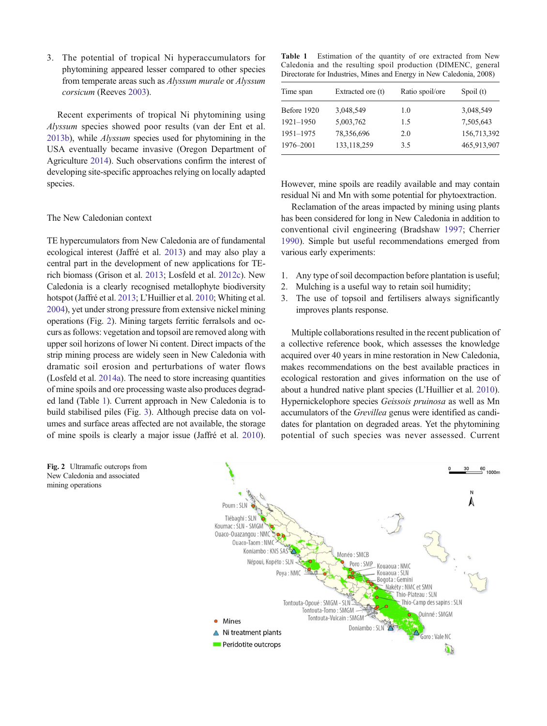3. The potential of tropical Ni hyperaccumulators for phytomining appeared lesser compared to other species from temperate areas such as Alyssum murale or Alyssum corsicum (Reeves 2003).

Recent experiments of tropical Ni phytomining using Alyssum species showed poor results (van der Ent et al. 2013b), while Alyssum species used for phytomining in the USA eventually became invasive (Oregon Department of Agriculture 2014). Such observations confirm the interest of developing site-specific approaches relying on locally adapted species.

# The New Caledonian context

TE hypercumulators from New Caledonia are of fundamental ecological interest (Jaffré et al. 2013) and may also play a central part in the development of new applications for TErich biomass (Grison et al. 2013; Losfeld et al. 2012c). New Caledonia is a clearly recognised metallophyte biodiversity hotspot (Jaffré et al. 2013; L'Huillier et al. 2010; Whiting et al. 2004), yet under strong pressure from extensive nickel mining operations (Fig. 2). Mining targets ferritic ferralsols and occurs as follows: vegetation and topsoil are removed along with upper soil horizons of lower Ni content. Direct impacts of the strip mining process are widely seen in New Caledonia with dramatic soil erosion and perturbations of water flows (Losfeld et al. 2014a). The need to store increasing quantities of mine spoils and ore processing waste also produces degraded land (Table 1). Current approach in New Caledonia is to build stabilised piles (Fig. 3). Although precise data on volumes and surface areas affected are not available, the storage of mine spoils is clearly a major issue (Jaffré et al. 2010). Table 1 Estimation of the quantity of ore extracted from New Caledonia and the resulting spoil production (DIMENC, general Directorate for Industries, Mines and Energy in New Caledonia, 2008)

| Time span     | Extracted ore (t) | Ratio spoil/ore | Spoil (t)   |  |  |
|---------------|-------------------|-----------------|-------------|--|--|
| Before 1920   | 3,048,549         | 1.0             | 3,048,549   |  |  |
| $1921 - 1950$ | 5,003,762         | 1.5             | 7,505,643   |  |  |
| 1951-1975     | 78,356,696        | 2.0             | 156,713,392 |  |  |
| 1976-2001     | 133, 118, 259     | 3.5             | 465,913,907 |  |  |
|               |                   |                 |             |  |  |

However, mine spoils are readily available and may contain residual Ni and Mn with some potential for phytoextraction.

Reclamation of the areas impacted by mining using plants has been considered for long in New Caledonia in addition to conventional civil engineering (Bradshaw 1997; Cherrier 1990). Simple but useful recommendations emerged from various early experiments:

- 1. Any type of soil decompaction before plantation is useful;
- 2. Mulching is a useful way to retain soil humidity;
- 3. The use of topsoil and fertilisers always significantly improves plants response.

Multiple collaborations resulted in the recent publication of a collective reference book, which assesses the knowledge acquired over 40 years in mine restoration in New Caledonia, makes recommendations on the best available practices in ecological restoration and gives information on the use of about a hundred native plant species (L'Huillier et al. 2010). Hypernickelophore species Geissois pruinosa as well as Mn accumulators of the Grevillea genus were identified as candidates for plantation on degraded areas. Yet the phytomining potential of such species was never assessed. Current



Fig. 2 Ultramafic outcrops from New Caledonia and associated mining operations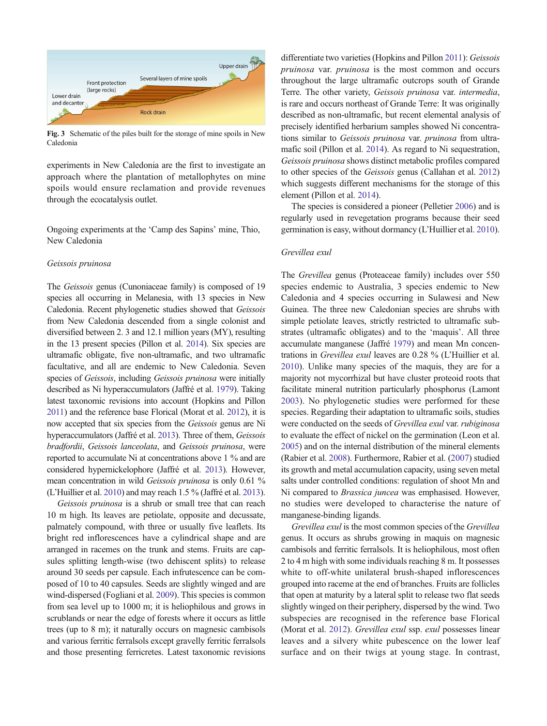

Fig. 3 Schematic of the piles built for the storage of mine spoils in New Caledonia

experiments in New Caledonia are the first to investigate an approach where the plantation of metallophytes on mine spoils would ensure reclamation and provide revenues through the ecocatalysis outlet.

Ongoing experiments at the 'Camp des Sapins' mine, Thio, New Caledonia

# Geissois pruinosa

The Geissois genus (Cunoniaceae family) is composed of 19 species all occurring in Melanesia, with 13 species in New Caledonia. Recent phylogenetic studies showed that Geissois from New Caledonia descended from a single colonist and diversified between 2. 3 and 12.1 million years (MY), resulting in the 13 present species (Pillon et al. 2014). Six species are ultramafic obligate, five non-ultramafic, and two ultramafic facultative, and all are endemic to New Caledonia. Seven species of *Geissois*, including *Geissois pruinosa* were initially described as Ni hyperaccumulators (Jaffré et al. 1979). Taking latest taxonomic revisions into account (Hopkins and Pillon 2011) and the reference base Florical (Morat et al. 2012), it is now accepted that six species from the Geissois genus are Ni hyperaccumulators (Jaffré et al. 2013). Three of them, Geissois bradfordii, Geissois lanceolata, and Geissois pruinosa, were reported to accumulate Ni at concentrations above 1 % and are considered hypernickelophore (Jaffré et al. 2013). However, mean concentration in wild Geissois pruinosa is only 0.61 % (L'Huillier et al. 2010) and may reach 1.5 % (Jaffré et al. 2013).

Geissois pruinosa is a shrub or small tree that can reach 10 m high. Its leaves are petiolate, opposite and decussate, palmately compound, with three or usually five leaflets. Its bright red inflorescences have a cylindrical shape and are arranged in racemes on the trunk and stems. Fruits are capsules splitting length-wise (two dehiscent splits) to release around 30 seeds per capsule. Each infrutescence can be composed of 10 to 40 capsules. Seeds are slightly winged and are wind-dispersed (Fogliani et al. 2009). This species is common from sea level up to 1000 m; it is heliophilous and grows in scrublands or near the edge of forests where it occurs as little trees (up to 8 m); it naturally occurs on magnesic cambisols and various ferritic ferralsols except gravelly ferritic ferralsols and those presenting ferricretes. Latest taxonomic revisions differentiate two varieties (Hopkins and Pillon 2011): Geissois pruinosa var. pruinosa is the most common and occurs throughout the large ultramafic outcrops south of Grande Terre. The other variety, Geissois pruinosa var. intermedia, is rare and occurs northeast of Grande Terre: It was originally described as non-ultramafic, but recent elemental analysis of precisely identified herbarium samples showed Ni concentrations similar to Geissois pruinosa var. pruinosa from ultramafic soil (Pillon et al. 2014). As regard to Ni sequestration, Geissois pruinosa shows distinct metabolic profiles compared to other species of the Geissois genus (Callahan et al. 2012) which suggests different mechanisms for the storage of this element (Pillon et al. 2014).

The species is considered a pioneer (Pelletier 2006) and is regularly used in revegetation programs because their seed germination is easy, without dormancy (L'Huillier et al. 2010).

#### Grevillea exul

The Grevillea genus (Proteaceae family) includes over 550 species endemic to Australia, 3 species endemic to New Caledonia and 4 species occurring in Sulawesi and New Guinea. The three new Caledonian species are shrubs with simple petiolate leaves, strictly restricted to ultramafic substrates (ultramafic obligates) and to the 'maquis'. All three accumulate manganese (Jaffré 1979) and mean Mn concentrations in Grevillea exul leaves are 0.28 % (L'Huillier et al. 2010). Unlike many species of the maquis, they are for a majority not mycorrhizal but have cluster proteoid roots that facilitate mineral nutrition particularly phosphorus (Lamont 2003). No phylogenetic studies were performed for these species. Regarding their adaptation to ultramafic soils, studies were conducted on the seeds of Grevillea exul var. rubiginosa to evaluate the effect of nickel on the germination (Leon et al. 2005) and on the internal distribution of the mineral elements (Rabier et al. 2008). Furthermore, Rabier et al. (2007) studied its growth and metal accumulation capacity, using seven metal salts under controlled conditions: regulation of shoot Mn and Ni compared to Brassica juncea was emphasised. However, no studies were developed to characterise the nature of manganese-binding ligands.

Grevillea exul is the most common species of the Grevillea genus. It occurs as shrubs growing in maquis on magnesic cambisols and ferritic ferralsols. It is heliophilous, most often 2 to 4 m high with some individuals reaching 8 m. It possesses white to off-white unilateral brush-shaped inflorescences grouped into raceme at the end of branches. Fruits are follicles that open at maturity by a lateral split to release two flat seeds slightly winged on their periphery, dispersed by the wind. Two subspecies are recognised in the reference base Florical (Morat et al. 2012). Grevillea exul ssp. exul possesses linear leaves and a silvery white pubescence on the lower leaf surface and on their twigs at young stage. In contrast,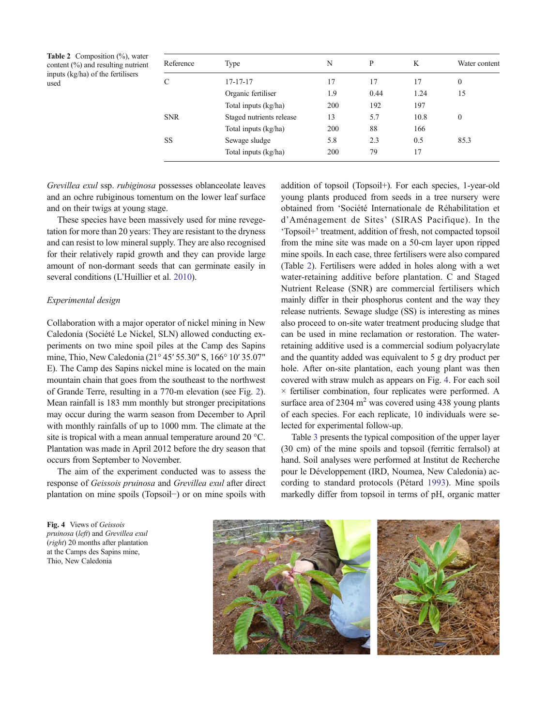**Table 2** Composition  $(\%)$ , water content (%) and resulting nutrient inputs (kg/ha) of the fertilisers used

| Reference          | Type                     | N   | P    | K    | Water content |  |
|--------------------|--------------------------|-----|------|------|---------------|--|
| $\curvearrowright$ | 17-17-17                 | 17  | 17   | 17   | $\mathbf{0}$  |  |
|                    | Organic fertiliser       | 1.9 | 0.44 | 1.24 | 15            |  |
|                    | Total inputs (kg/ha)     | 200 | 192  | 197  |               |  |
| <b>SNR</b>         | Staged nutrients release | 13  | 5.7  | 10.8 | $\mathbf{0}$  |  |
|                    | Total inputs (kg/ha)     | 200 | 88   | 166  |               |  |
| SS                 | Sewage sludge            | 5.8 | 2.3  | 0.5  | 85.3          |  |
|                    | Total inputs (kg/ha)     | 200 | 79   | 17   |               |  |

Grevillea exul ssp. rubiginosa possesses oblanceolate leaves and an ochre rubiginous tomentum on the lower leaf surface and on their twigs at young stage.

These species have been massively used for mine revegetation for more than 20 years: They are resistant to the dryness and can resist to low mineral supply. They are also recognised for their relatively rapid growth and they can provide large amount of non-dormant seeds that can germinate easily in several conditions (L'Huillier et al. 2010).

# Experimental design

Collaboration with a major operator of nickel mining in New Caledonia (Société Le Nickel, SLN) allowed conducting experiments on two mine spoil piles at the Camp des Sapins mine, Thio, New Caledonia (21° 45′ 55.30" S, 166° 10′ 35.07" E). The Camp des Sapins nickel mine is located on the main mountain chain that goes from the southeast to the northwest of Grande Terre, resulting in a 770-m elevation (see Fig. 2). Mean rainfall is 183 mm monthly but stronger precipitations may occur during the warm season from December to April with monthly rainfalls of up to 1000 mm. The climate at the site is tropical with a mean annual temperature around 20 °C. Plantation was made in April 2012 before the dry season that occurs from September to November.

The aim of the experiment conducted was to assess the response of Geissois pruinosa and Grevillea exul after direct plantation on mine spoils (Topsoil−) or on mine spoils with

addition of topsoil (Topsoil+). For each species, 1-year-old young plants produced from seeds in a tree nursery were obtained from 'Société Internationale de Réhabilitation et d'Aménagement de Sites' (SIRAS Pacifique). In the 'Topsoil+' treatment, addition of fresh, not compacted topsoil from the mine site was made on a 50-cm layer upon ripped mine spoils. In each case, three fertilisers were also compared (Table 2). Fertilisers were added in holes along with a wet water-retaining additive before plantation. C and Staged Nutrient Release (SNR) are commercial fertilisers which mainly differ in their phosphorus content and the way they release nutrients. Sewage sludge (SS) is interesting as mines also proceed to on-site water treatment producing sludge that can be used in mine reclamation or restoration. The waterretaining additive used is a commercial sodium polyacrylate and the quantity added was equivalent to 5 g dry product per hole. After on-site plantation, each young plant was then covered with straw mulch as appears on Fig. 4. For each soil × fertiliser combination, four replicates were performed. A surface area of  $2304 \text{ m}^2$  was covered using 438 young plants of each species. For each replicate, 10 individuals were selected for experimental follow-up.

Table 3 presents the typical composition of the upper layer (30 cm) of the mine spoils and topsoil (ferritic ferralsol) at hand. Soil analyses were performed at Institut de Recherche pour le Développement (IRD, Noumea, New Caledonia) according to standard protocols (Pétard 1993). Mine spoils markedly differ from topsoil in terms of pH, organic matter

Fig. 4 Views of Geissois pruinosa (left) and Grevillea exul (right) 20 months after plantation at the Camps des Sapins mine, Thio, New Caledonia

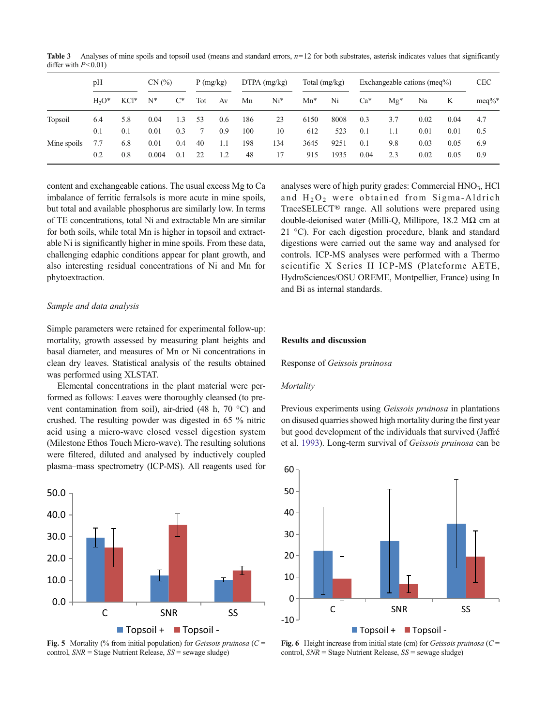**Table 3** Analyses of mine spoils and topsoil used (means and standard errors,  $n=12$  for both substrates, asterisk indicates values that significantly differ with  $P<0.01$ )

|             | pH     |         | CN(%) |       | P(mg/kg) |     | $DTPA$ (mg/kg) |       | Total $(mg/kg)$ |      | Exchangeable cations (meq%) |       |      | <b>CEC</b> |           |
|-------------|--------|---------|-------|-------|----------|-----|----------------|-------|-----------------|------|-----------------------------|-------|------|------------|-----------|
|             | $H2O*$ | $KCl^*$ | N*    | $C^*$ | Tot      | Av  | Mn             | $Ni*$ | $Mn^*$          | Ni   | $Ca*$                       | $Mg*$ | Na   | K          | $meq\%^*$ |
| Topsoil     | 6.4    | 5.8     | 0.04  | 1.3   | 53       | 0.6 | 186            | 23    | 6150            | 8008 | 0.3                         | 3.7   | 0.02 | 0.04       | 4.7       |
|             | 0.1    | 0.1     | 0.01  | 0.3   |          | 0.9 | 100            | 10    | 612             | 523  | 0.1                         | 1.1   | 0.01 | 0.01       | 0.5       |
| Mine spoils | 7.7    | 6.8     | 0.01  | 0.4   | 40       | 1.1 | 198            | 134   | 3645            | 9251 | 0.1                         | 9.8   | 0.03 | 0.05       | 6.9       |
|             | 0.2    | 0.8     | 0.004 | 0.1   | 22       | 1.2 | 48             | 17    | 915             | 1935 | 0.04                        | 2.3   | 0.02 | 0.05       | 0.9       |

content and exchangeable cations. The usual excess Mg to Ca imbalance of ferritic ferralsols is more acute in mine spoils, but total and available phosphorus are similarly low. In terms of TE concentrations, total Ni and extractable Mn are similar for both soils, while total Mn is higher in topsoil and extractable Ni is significantly higher in mine spoils. From these data, challenging edaphic conditions appear for plant growth, and also interesting residual concentrations of Ni and Mn for phytoextraction.

# Sample and data analysis

Simple parameters were retained for experimental follow-up: mortality, growth assessed by measuring plant heights and basal diameter, and measures of Mn or Ni concentrations in clean dry leaves. Statistical analysis of the results obtained was performed using XLSTAT.

Elemental concentrations in the plant material were performed as follows: Leaves were thoroughly cleansed (to prevent contamination from soil), air-dried (48 h, 70 °C) and crushed. The resulting powder was digested in 65 % nitric acid using a micro-wave closed vessel digestion system (Milestone Ethos Touch Micro-wave). The resulting solutions were filtered, diluted and analysed by inductively coupled plasma–mass spectrometry (ICP-MS). All reagents used for



**Fig. 5** Mortality (% from initial population) for *Geissois pruinosa* ( $C =$ control,  $SNR = Stage$  Nutrient Release,  $SS =$  sewage sludge)

analyses were of high purity grades: Commercial  $HNO<sub>3</sub>$ ,  $HCl$ and  $H_2O_2$  were obtained from Sigma-Aldrich TraceSELECT® range. All solutions were prepared using double-deionised water (Milli-Q, Millipore, 18.2 MΩ cm at 21 °C). For each digestion procedure, blank and standard digestions were carried out the same way and analysed for controls. ICP-MS analyses were performed with a Thermo scientific X Series II ICP-MS (Plateforme AETE, HydroSciences/OSU OREME, Montpellier, France) using In and Bi as internal standards.

### Results and discussion

Response of Geissois pruinosa

#### **Mortality**

Previous experiments using Geissois pruinosa in plantations on disused quarries showed high mortality during the first year but good development of the individuals that survived (Jaffré et al. 1993). Long-term survival of Geissois pruinosa can be



Fig. 6 Height increase from initial state (cm) for *Geissois pruinosa* ( $C =$ control,  $SNR$  = Stage Nutrient Release,  $SS$  = sewage sludge)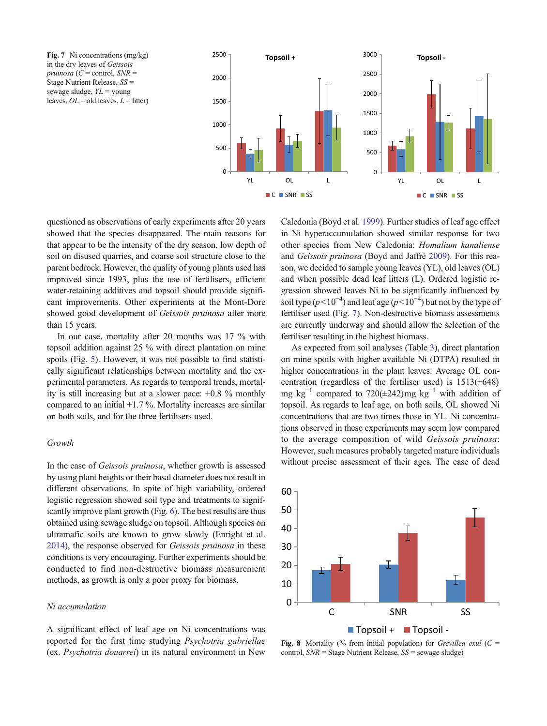Fig. 7 Ni concentrations (mg/kg) in the dry leaves of Geissois pruinosa ( $C$  = control,  $SNR$  = Stage Nutrient Release, SS = sewage sludge,  $YL = \text{young}$ leaves,  $OL = old$  leaves,  $L =$  litter)



questioned as observations of early experiments after 20 years showed that the species disappeared. The main reasons for that appear to be the intensity of the dry season, low depth of soil on disused quarries, and coarse soil structure close to the parent bedrock. However, the quality of young plants used has improved since 1993, plus the use of fertilisers, efficient water-retaining additives and topsoil should provide significant improvements. Other experiments at the Mont-Dore showed good development of Geissois pruinosa after more than 15 years.

In our case, mortality after 20 months was 17 % with topsoil addition against 25 % with direct plantation on mine spoils (Fig. 5). However, it was not possible to find statistically significant relationships between mortality and the experimental parameters. As regards to temporal trends, mortality is still increasing but at a slower pace: +0.8 % monthly compared to an initial +1.7 %. Mortality increases are similar on both soils, and for the three fertilisers used.

### Growth

In the case of Geissois pruinosa, whether growth is assessed by using plant heights or their basal diameter does not result in different observations. In spite of high variability, ordered logistic regression showed soil type and treatments to significantly improve plant growth (Fig. 6). The best results are thus obtained using sewage sludge on topsoil. Although species on ultramafic soils are known to grow slowly (Enright et al. 2014), the response observed for Geissois pruinosa in these conditions is very encouraging. Further experiments should be conducted to find non-destructive biomass measurement methods, as growth is only a poor proxy for biomass.

#### Ni accumulation

A significant effect of leaf age on Ni concentrations was reported for the first time studying Psychotria gabriellae (ex. Psychotria douarrei) in its natural environment in New Caledonia (Boyd et al. 1999). Further studies of leaf age effect in Ni hyperaccumulation showed similar response for two other species from New Caledonia: Homalium kanaliense and Geissois pruinosa (Boyd and Jaffré 2009). For this reason, we decided to sample young leaves (YL), old leaves (OL) and when possible dead leaf litters (L). Ordered logistic regression showed leaves Ni to be significantly influenced by soil type ( $p$ <10<sup>-4</sup>) and leaf age ( $p$ <10<sup>-4</sup>) but not by the type of fertiliser used (Fig. 7). Non-destructive biomass assessments are currently underway and should allow the selection of the fertiliser resulting in the highest biomass.

As expected from soil analyses (Table 3), direct plantation on mine spoils with higher available Ni (DTPA) resulted in higher concentrations in the plant leaves: Average OL concentration (regardless of the fertiliser used) is  $1513(\pm 648)$ mg kg<sup>-1</sup> compared to 720(±242)mg kg<sup>-1</sup> with addition of topsoil. As regards to leaf age, on both soils, OL showed Ni concentrations that are two times those in YL. Ni concentrations observed in these experiments may seem low compared to the average composition of wild Geissois pruinosa: However, such measures probably targeted mature individuals without precise assessment of their ages. The case of dead



Fig. 8 Mortality (% from initial population) for *Grevillea exul* ( $C =$ control,  $SNR$  = Stage Nutrient Release,  $SS$  = sewage sludge)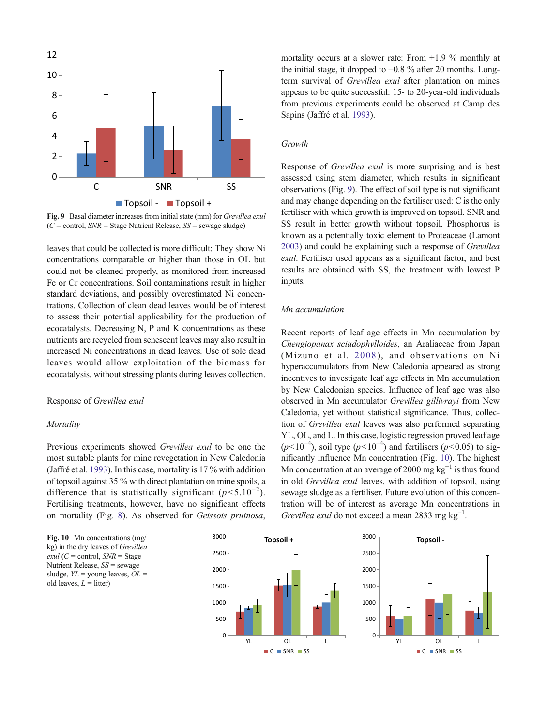

Fig. 9 Basal diameter increases from initial state (mm) for Grevillea exul  $(C =$  control,  $SNR =$  Stage Nutrient Release,  $SS =$  sewage sludge)

leaves that could be collected is more difficult: They show Ni concentrations comparable or higher than those in OL but could not be cleaned properly, as monitored from increased Fe or Cr concentrations. Soil contaminations result in higher standard deviations, and possibly overestimated Ni concentrations. Collection of clean dead leaves would be of interest to assess their potential applicability for the production of ecocatalysts. Decreasing N, P and K concentrations as these nutrients are recycled from senescent leaves may also result in increased Ni concentrations in dead leaves. Use of sole dead leaves would allow exploitation of the biomass for ecocatalysis, without stressing plants during leaves collection.

# Response of Grevillea exul

#### **Mortality**

Previous experiments showed Grevillea exul to be one the most suitable plants for mine revegetation in New Caledonia (Jaffré et al. 1993). In this case, mortality is 17 % with addition of topsoil against 35 % with direct plantation on mine spoils, a difference that is statistically significant  $(p<5.10^{-2})$ . Fertilising treatments, however, have no significant effects on mortality (Fig. 8). As observed for Geissois pruinosa,

Fig. 10 Mn concentrations (mg/ kg) in the dry leaves of Grevillea  $exul (C = control, SNR = Stage$ Nutrient Release,  $SS$  = sewage sludge,  $YL = young$  leaves,  $OL =$ old leaves,  $L =$  litter)

mortality occurs at a slower rate: From  $+1.9$  % monthly at the initial stage, it dropped to  $+0.8$  % after 20 months. Longterm survival of Grevillea exul after plantation on mines appears to be quite successful: 15- to 20-year-old individuals from previous experiments could be observed at Camp des Sapins (Jaffré et al. 1993).

#### Growth

Response of Grevillea exul is more surprising and is best assessed using stem diameter, which results in significant observations (Fig. 9). The effect of soil type is not significant and may change depending on the fertiliser used: C is the only fertiliser with which growth is improved on topsoil. SNR and SS result in better growth without topsoil. Phosphorus is known as a potentially toxic element to Proteaceae (Lamont 2003) and could be explaining such a response of Grevillea exul. Fertiliser used appears as a significant factor, and best results are obtained with SS, the treatment with lowest P inputs.

# Mn accumulation

Recent reports of leaf age effects in Mn accumulation by Chengiopanax sciadophylloides, an Araliaceae from Japan (Mizuno et al. 2008), and observations on Ni hyperaccumulators from New Caledonia appeared as strong incentives to investigate leaf age effects in Mn accumulation by New Caledonian species. Influence of leaf age was also observed in Mn accumulator Grevillea gillivrayi from New Caledonia, yet without statistical significance. Thus, collection of Grevillea exul leaves was also performed separating YL, OL, and L. In this case, logistic regression proved leaf age  $(p<10^{-4})$ , soil type  $(p<10^{-4})$  and fertilisers  $(p<0.05)$  to significantly influence Mn concentration (Fig. 10). The highest Mn concentration at an average of 2000 mg  $kg^{-1}$  is thus found in old Grevillea exul leaves, with addition of topsoil, using sewage sludge as a fertiliser. Future evolution of this concentration will be of interest as average Mn concentrations in Grevillea exul do not exceed a mean 2833 mg  $kg^{-1}$ .

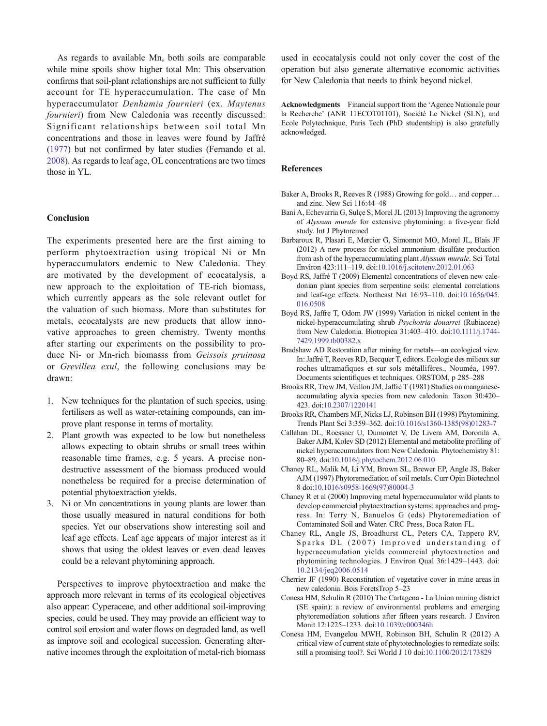As regards to available Mn, both soils are comparable while mine spoils show higher total Mn: This observation confirms that soil-plant relationships are not sufficient to fully account for TE hyperaccumulation. The case of Mn hyperaccumulator Denhamia fournieri (ex. Maytenus fournieri) from New Caledonia was recently discussed: Significant relationships between soil total Mn concentrations and those in leaves were found by Jaffré (1977) but not confirmed by later studies (Fernando et al. 2008). As regards to leaf age, OL concentrations are two times those in YL.

# Conclusion

The experiments presented here are the first aiming to perform phytoextraction using tropical Ni or Mn hyperaccumulators endemic to New Caledonia. They are motivated by the development of ecocatalysis, a new approach to the exploitation of TE-rich biomass, which currently appears as the sole relevant outlet for the valuation of such biomass. More than substitutes for metals, ecocatalysts are new products that allow innovative approaches to green chemistry. Twenty months after starting our experiments on the possibility to produce Ni- or Mn-rich biomasss from Geissois pruinosa or Grevillea exul, the following conclusions may be drawn:

- 1. New techniques for the plantation of such species, using fertilisers as well as water-retaining compounds, can improve plant response in terms of mortality.
- 2. Plant growth was expected to be low but nonetheless allows expecting to obtain shrubs or small trees within reasonable time frames, e.g. 5 years. A precise nondestructive assessment of the biomass produced would nonetheless be required for a precise determination of potential phytoextraction yields.
- 3. Ni or Mn concentrations in young plants are lower than those usually measured in natural conditions for both species. Yet our observations show interesting soil and leaf age effects. Leaf age appears of major interest as it shows that using the oldest leaves or even dead leaves could be a relevant phytomining approach.

Perspectives to improve phytoextraction and make the approach more relevant in terms of its ecological objectives also appear: Cyperaceae, and other additional soil-improving species, could be used. They may provide an efficient way to control soil erosion and water flows on degraded land, as well as improve soil and ecological succession. Generating alternative incomes through the exploitation of metal-rich biomass used in ecocatalysis could not only cover the cost of the operation but also generate alternative economic activities for New Caledonia that needs to think beyond nickel.

Acknowledgments Financial support from the 'Agence Nationale pour la Recherche' (ANR 11ECOT01101), Société Le Nickel (SLN), and Ecole Polytechnique, Paris Tech (PhD studentship) is also gratefully acknowledged.

#### References

- Baker A, Brooks R, Reeves R (1988) Growing for gold… and copper… and zinc. New Sci 116:44–48
- Bani A, Echevarria G, Sulçe S, Morel JL (2013) Improving the agronomy of Alyssum murale for extensive phytomining: a five-year field study. Int J Phytoremed
- Barbaroux R, Plasari E, Mercier G, Simonnot MO, Morel JL, Blais JF (2012) A new process for nickel ammonium disulfate production from ash of the hyperaccumulating plant Alyssum murale. Sci Total Environ 423:111–119. doi[:10.1016/j.scitotenv.2012.01.063](http://dx.doi.org/10.1016/j.scitotenv.2012.01.063)
- Boyd RS, Jaffré T (2009) Elemental concentrations of eleven new caledonian plant species from serpentine soils: elemental correlations and leaf-age effects. Northeast Nat 16:93–110. doi[:10.1656/045.](http://dx.doi.org/10.1656/045.016.0508) [016.0508](http://dx.doi.org/10.1656/045.016.0508)
- Boyd RS, Jaffre T, Odom JW (1999) Variation in nickel content in the nickel-hyperaccumulating shrub Psychotria douarrei (Rubiaceae) from New Caledonia. Biotropica 31:403–410. doi:[10.1111/j.1744-](http://dx.doi.org/10.1111/j.1744-7429.1999.tb00382.x) [7429.1999.tb00382.x](http://dx.doi.org/10.1111/j.1744-7429.1999.tb00382.x)
- Bradshaw AD Restoration after mining for metals—an ecological view. In: Jaffré T, Reeves RD, Becquer T, editors. Ecologie des milieux sur roches ultramafiques et sur sols métallifères., Nouméa, 1997. Documents scientifiques et techniques. ORSTOM, p 285–288
- Brooks RR, Trow JM, Veillon JM, Jaffré T (1981) Studies on manganeseaccumulating alyxia species from new caledonia. Taxon 30:420– 423. doi[:10.2307/1220141](http://dx.doi.org/10.2307/1220141)
- Brooks RR, Chambers MF, Nicks LJ, Robinson BH (1998) Phytomining. Trends Plant Sci 3:359–362. doi:[10.1016/s1360-1385\(98\)01283-7](http://dx.doi.org/10.1016/s1360-1385(98)01283-7)
- Callahan DL, Roessner U, Dumontet V, De Livera AM, Doronila A, Baker AJM, Kolev SD (2012) Elemental and metabolite profiling of nickel hyperaccumulators from New Caledonia. Phytochemistry 81: 80–89. doi:[10.1016/j.phytochem.2012.06.010](http://dx.doi.org/10.1016/j.phytochem.2012.06.010)
- Chaney RL, Malik M, Li YM, Brown SL, Brewer EP, Angle JS, Baker AJM (1997) Phytoremediation of soil metals. Curr Opin Biotechnol 8 doi[:10.1016/s0958-1669\(97\)80004-3](http://dx.doi.org/10.1016/s0958-1669(97)80004-3)
- Chaney R et al (2000) Improving metal hyperaccumulator wild plants to develop commercial phytoextraction systems: approaches and progress. In: Terry N, Banuelos G (eds) Phytoremediation of Contaminated Soil and Water. CRC Press, Boca Raton FL.
- Chaney RL, Angle JS, Broadhurst CL, Peters CA, Tappero RV, Sparks DL (2007) Improved understanding of hyperaccumulation yields commercial phytoextraction and phytomining technologies. J Environ Qual 36:1429–1443. doi: [10.2134/jeq2006.0514](http://dx.doi.org/10.2134/jeq2006.0514)
- Cherrier JF (1990) Reconstitution of vegetative cover in mine areas in new caledonia. Bois ForetsTrop 5–23
- Conesa HM, Schulin R (2010) The Cartagena La Union mining district (SE spain): a review of environmental problems and emerging phytoremediation solutions after fifteen years research. J Environ Monit 12:1225–1233. doi[:10.1039/c000346h](http://dx.doi.org/10.1039/c000346h)
- Conesa HM, Evangelou MWH, Robinson BH, Schulin R (2012) A critical view of current state of phytotechnologies to remediate soils: still a promising tool?. Sci World J 10 doi[:10.1100/2012/173829](http://dx.doi.org/10.1100/2012/173829)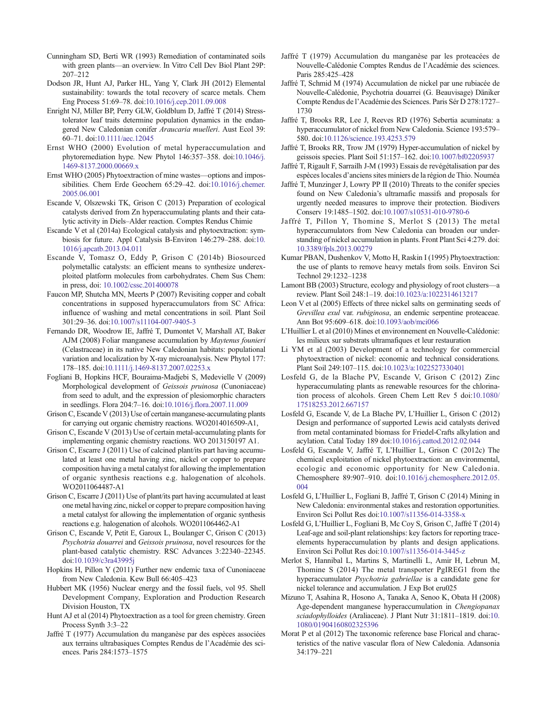Cunningham SD, Berti WR (1993) Remediation of contaminated soils with green plants—an overview. In Vitro Cell Dev Biol Plant 29P: 207–212

- Dodson JR, Hunt AJ, Parker HL, Yang Y, Clark JH (2012) Elemental sustainability: towards the total recovery of scarce metals. Chem Eng Process 51:69–78. doi[:10.1016/j.cep.2011.09.008](http://dx.doi.org/10.1016/j.cep.2011.09.008)
- Enright NJ, Miller BP, Perry GLW, Goldblum D, Jaffré T (2014) Stresstolerator leaf traits determine population dynamics in the endangered New Caledonian conifer Araucaria muelleri. Aust Ecol 39: 60–71. doi:[10.1111/aec.12045](http://dx.doi.org/10.1111/aec.12045)
- Ernst WHO (2000) Evolution of metal hyperaccumulation and phytoremediation hype. New Phytol 146:357–358. doi:[10.1046/j.](http://dx.doi.org/10.1046/j.1469-8137.2000.00669.x) [1469-8137.2000.00669.x](http://dx.doi.org/10.1046/j.1469-8137.2000.00669.x)
- Ernst WHO (2005) Phytoextraction of mine wastes—options and impossibilities. Chem Erde Geochem 65:29–42. doi[:10.1016/j.chemer.](http://dx.doi.org/10.1016/j.chemer.2005.06.001) [2005.06.001](http://dx.doi.org/10.1016/j.chemer.2005.06.001)
- Escande V, Olszewski TK, Grison C (2013) Preparation of ecological catalysts derived from Zn hyperaccumulating plants and their catalytic activity in Diels–Alder reaction. Comptes Rendus Chimie
- Escande V et al (2014a) Ecological catalysis and phytoextraction: symbiosis for future. Appl Catalysis B-Environ 146:279–288. doi:[10.](http://dx.doi.org/10.1016/j.apcatb.2013.04.011) [1016/j.apcatb.2013.04.011](http://dx.doi.org/10.1016/j.apcatb.2013.04.011)
- Escande V, Tomasz O, Eddy P, Grison C (2014b) Biosourced polymetallic catalysts: an efficient means to synthesize underexploited platform molecules from carbohydrates. Chem Sus Chem: in press, doi: [10.1002/cssc.201400078](http://dx.doi.org/10.1002/cssc.201400078)
- Faucon MP, Shutcha MN, Meerts P (2007) Revisiting copper and cobalt concentrations in supposed hyperaccumulators from SC Africa: influence of washing and metal concentrations in soil. Plant Soil 301:29–36. doi[:10.1007/s11104-007-9405-3](http://dx.doi.org/10.1007/s11104-007-9405-3)
- Fernando DR, Woodrow IE, Jaffré T, Dumontet V, Marshall AT, Baker AJM (2008) Foliar manganese accumulation by Maytenus founieri (Celastraceae) in its native New Caledonian habitats: populational variation and localization by X-ray microanalysis. New Phytol 177: 178–185. doi[:10.1111/j.1469-8137.2007.02253.x](http://dx.doi.org/10.1111/j.1469-8137.2007.02253.x)
- Fogliani B, Hopkins HCF, Bouraima-Madjebi S, Medevielle V (2009) Morphological development of Geissois pruinosa (Cunoniaceae) from seed to adult, and the expression of plesiomorphic characters in seedlings. Flora 204:7–16. doi:[10.1016/j.flora.2007.11.009](http://dx.doi.org/10.1016/j.flora.2007.11.009)
- Grison C, Escande V (2013) Use of certain manganese-accumulating plants for carrying out organic chemistry reactions. WO2014016509-A1,
- Grison C, Escande V (2013) Use of certain metal-accumulating plants for implementing organic chemistry reactions. WO 2013150197 A1.
- Grison C, Escarre J (2011) Use of calcined plant/its part having accumulated at least one metal having zinc, nickel or copper to prepare composition having a metal catalyst for allowing the implementation of organic synthesis reactions e.g. halogenation of alcohols. WO2011064487-A1
- Grison C, Escarre J (2011) Use of plant/its part having accumulated at least one metal having zinc, nickel or copper to prepare composition having a metal catalyst for allowing the implementation of organic synthesis reactions e.g. halogenation of alcohols. WO2011064462-A1
- Grison C, Escande V, Petit E, Garoux L, Boulanger C, Grison C (2013) Psychotria douarrei and Geissois pruinosa, novel resources for the plant-based catalytic chemistry. RSC Advances 3:22340–22345. doi:[10.1039/c3ra43995j](http://dx.doi.org/10.1039/c3ra43995j)
- Hopkins H, Pillon Y (2011) Further new endemic taxa of Cunoniaceae from New Caledonia. Kew Bull 66:405–423
- Hubbert MK (1956) Nuclear energy and the fossil fuels, vol 95. Shell Development Company, Exploration and Production Research Division Houston, TX
- Hunt AJ et al (2014) Phytoextraction as a tool for green chemistry. Green Process Synth 3:3–22
- Jaffré T (1977) Accumulation du manganèse par des espèces associées aux terrains ultrabasiques Comptes Rendus de l'Académie des sciences. Paris 284:1573–1575
- Jaffré T (1979) Accumulation du manganèse par les proteacées de Nouvelle-Calédonie Comptes Rendus de l'Académie des sciences. Paris 285:425–428
- Jaffré T, Schmid M (1974) Accumulation de nickel par une rubiacée de Nouvelle-Calédonie, Psychotria douarrei (G. Beauvisage) Däniker Compte Rendus de l'Académie des Sciences. Paris Sér D 278:1727– 1730
- Jaffré T, Brooks RR, Lee J, Reeves RD (1976) Sebertia acuminata: a hyperaccumulator of nickel from New Caledonia. Science 193:579– 580. doi[:10.1126/science.193.4253.579](http://dx.doi.org/10.1126/science.193.4253.579)
- Jaffré T, Brooks RR, Trow JM (1979) Hyper-accumulation of nickel by geissois species. Plant Soil 51:157–162. doi:[10.1007/bf02205937](http://dx.doi.org/10.1007/bf02205937)
- Jaffré T, Rigault F, Sarrailh J-M (1993) Essais de revégétalisation par des espèces locales d'anciens sites miniers de la région de Thio. Nouméa
- Jaffré T, Munzinger J, Lowry PP II (2010) Threats to the conifer species found on New Caledonia's ultramafic massifs and proposals for urgently needed measures to improve their protection. Biodivers Conserv 19:1485–1502. doi[:10.1007/s10531-010-9780-6](http://dx.doi.org/10.1007/s10531-010-9780-6)
- Jaffré T, Pillon Y, Thomine S, Merlot S (2013) The metal hyperaccumulators from New Caledonia can broaden our understanding of nickel accumulation in plants. Front Plant Sci 4:279. doi: [10.3389/fpls.2013.00279](http://dx.doi.org/10.3389/fpls.2013.00279)
- Kumar PBAN, Dushenkov V, Motto H, Raskin I (1995) Phytoextraction: the use of plants to remove heavy metals from soils. Environ Sci Technol 29:1232–1238
- Lamont BB (2003) Structure, ecology and physiology of root clusters—a review. Plant Soil 248:1–19. doi[:10.1023/a:1022314613217](http://dx.doi.org/10.1023/a:1022314613217)
- Leon V et al (2005) Effects of three nickel salts on germinating seeds of Grevillea exul var. rubiginosa, an endemic serpentine proteaceae. Ann Bot 95:609–618. doi[:10.1093/aob/mci066](http://dx.doi.org/10.1093/aob/mci066)
- L'Huillier L et al (2010) Mines et environnement en Nouvelle-Calédonie: les milieux sur substrats ultramafiques et leur restauration
- Li YM et al (2003) Development of a technology for commercial phytoextraction of nickel: economic and technical considerations. Plant Soil 249:107–115. doi:[10.1023/a:1022527330401](http://dx.doi.org/10.1023/a:1022527330401)
- Losfeld G, de la Blache PV, Escande V, Grison C (2012) Zinc hyperaccumulating plants as renewable resources for the chlorination process of alcohols. Green Chem Lett Rev 5 doi:[10.1080/](http://dx.doi.org/10.1080/17518253.2012.667157) [17518253.2012.667157](http://dx.doi.org/10.1080/17518253.2012.667157)
- Losfeld G, Escande V, de La Blache PV, L'Huillier L, Grison C (2012) Design and performance of supported Lewis acid catalysts derived from metal contaminated biomass for Friedel-Crafts alkylation and acylation. Catal Today 189 doi:[10.1016/j.cattod.2012.02.044](http://dx.doi.org/10.1016/j.cattod.2012.02.044)
- Losfeld G, Escande V, Jaffré T, L'Huillier L, Grison C (2012c) The chemical exploitation of nickel phytoextraction: an environmental, ecologic and economic opportunity for New Caledonia. Chemosphere 89:907–910. doi:[10.1016/j.chemosphere.2012.05.](http://dx.doi.org/10.1016/j.chemosphere.2012.05.004) [004](http://dx.doi.org/10.1016/j.chemosphere.2012.05.004)
- Losfeld G, L'Huillier L, Fogliani B, Jaffré T, Grison C (2014) Mining in New Caledonia: environmental stakes and restoration opportunities. Environ Sci Pollut Res doi[:10.1007/s11356-014-3358-x](http://dx.doi.org/10.1007/s11356-014-3358-x)
- Losfeld G, L'Huillier L, Fogliani B, Mc Coy S, Grison C, Jaffré T (2014) Leaf-age and soil-plant relationships: key factors for reporting traceelements hyperaccumulation by plants and design applications. Environ Sci Pollut Res doi[:10.1007/s11356-014-3445-z](http://dx.doi.org/10.1007/s11356-014-3445-z)
- Merlot S, Hannibal L, Martins S, Martinelli L, Amir H, Lebrun M, Thomine S (2014) The metal transporter PgIREG1 from the hyperaccumulator Psychotria gabriellae is a candidate gene for nickel tolerance and accumulation. J Exp Bot eru025
- Mizuno T, Asahina R, Hosono A, Tanaka A, Senoo K, Obata H (2008) Age-dependent manganese hyperaccumulation in Chengiopanax sciadophylloides (Araliaceae). J Plant Nutr 31:1811–1819. doi[:10.](http://dx.doi.org/10.1080/01904160802325396) [1080/01904160802325396](http://dx.doi.org/10.1080/01904160802325396)
- Morat P et al (2012) The taxonomic reference base Florical and characteristics of the native vascular flora of New Caledonia. Adansonia 34:179–221